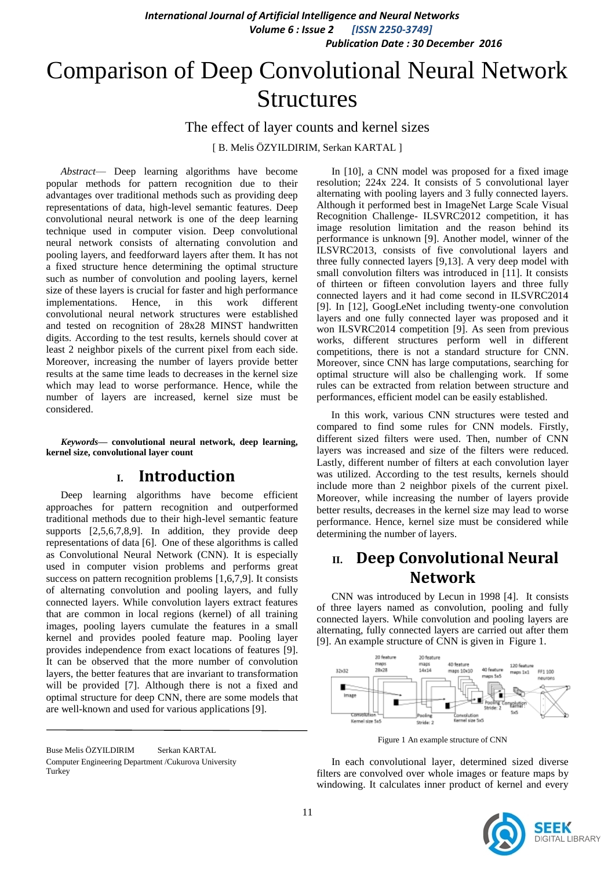# Comparison of Deep Convolutional Neural Network **Structures**

The effect of layer counts and kernel sizes

[ B. Melis ÖZYILDIRIM, Serkan KARTAL ]

*Abstract*— Deep learning algorithms have become popular methods for pattern recognition due to their advantages over traditional methods such as providing deep representations of data, high-level semantic features. Deep convolutional neural network is one of the deep learning technique used in computer vision. Deep convolutional neural network consists of alternating convolution and pooling layers, and feedforward layers after them. It has not a fixed structure hence determining the optimal structure such as number of convolution and pooling layers, kernel size of these layers is crucial for faster and high performance implementations. Hence, in this work different convolutional neural network structures were established and tested on recognition of 28x28 MINST handwritten digits. According to the test results, kernels should cover at least 2 neighbor pixels of the current pixel from each side. Moreover, increasing the number of layers provide better results at the same time leads to decreases in the kernel size which may lead to worse performance. Hence, while the number of layers are increased, kernel size must be considered.

*Keywords—* **convolutional neural network, deep learning, kernel size, convolutional layer count**

# **I. Introduction**

Deep learning algorithms have become efficient approaches for pattern recognition and outperformed traditional methods due to their high-level semantic feature supports [2,5,6,7,8,9]. In addition, they provide deep representations of data [6]. One of these algorithms is called as Convolutional Neural Network (CNN). It is especially used in computer vision problems and performs great success on pattern recognition problems [1,6,7,9]. It consists of alternating convolution and pooling layers, and fully connected layers. While convolution layers extract features that are common in local regions (kernel) of all training images, pooling layers cumulate the features in a small kernel and provides pooled feature map. Pooling layer provides independence from exact locations of features [9]. It can be observed that the more number of convolution layers, the better features that are invariant to transformation will be provided [7]. Although there is not a fixed and optimal structure for deep CNN, there are some models that are well-known and used for various applications [9].

Buse Melis ÖZYILDIRIM Serkan KARTAL Computer Engineering Department /Cukurova University Turkey

In [10], a CNN model was proposed for a fixed image resolution; 224x 224. It consists of 5 convolutional layer alternating with pooling layers and 3 fully connected layers. Although it performed best in ImageNet Large Scale Visual Recognition Challenge- ILSVRC2012 competition, it has image resolution limitation and the reason behind its performance is unknown [9]. Another model, winner of the ILSVRC2013, consists of five convolutional layers and three fully connected layers [9,13]. A very deep model with small convolution filters was introduced in [11]. It consists of thirteen or fifteen convolution layers and three fully connected layers and it had come second in ILSVRC2014 [9]. In [12], GoogLeNet including twenty-one convolution layers and one fully connected layer was proposed and it won ILSVRC2014 competition [9]. As seen from previous works, different structures perform well in different competitions, there is not a standard structure for CNN. Moreover, since CNN has large computations, searching for optimal structure will also be challenging work. If some rules can be extracted from relation between structure and performances, efficient model can be easily established.

In this work, various CNN structures were tested and compared to find some rules for CNN models. Firstly, different sized filters were used. Then, number of CNN layers was increased and size of the filters were reduced. Lastly, different number of filters at each convolution layer was utilized. According to the test results, kernels should include more than 2 neighbor pixels of the current pixel. Moreover, while increasing the number of layers provide better results, decreases in the kernel size may lead to worse performance. Hence, kernel size must be considered while determining the number of layers.

# **II. Deep Convolutional Neural Network**

CNN was introduced by Lecun in 1998 [4]. It consists of three layers named as convolution, pooling and fully connected layers. While convolution and pooling layers are alternating, fully connected layers are carried out after them [9]. An example structure of CNN is given in [Figure 1.](#page-0-0)



Figure 1 An example structure of CNN

<span id="page-0-0"></span>In each convolutional layer, determined sized diverse filters are convolved over whole images or feature maps by windowing. It calculates inner product of kernel and every

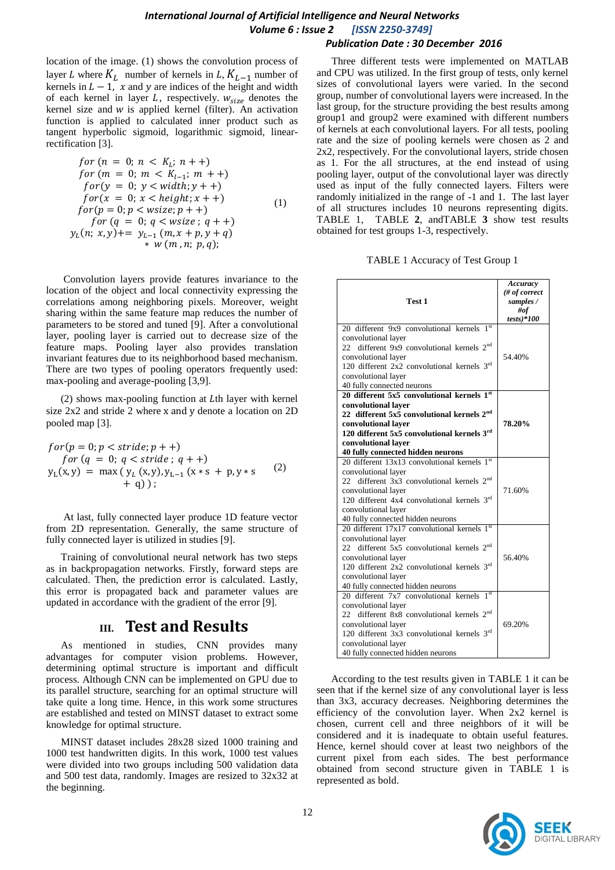location of the image. [\(1\)](#page-1-0) shows the convolution process of layer L where  $K_L$  number of kernels in L,  $K_{L-1}$  number of kernels in  $L - 1$ , x and y are indices of the height and width of each kernel in layer  $L$ , respectively.  $w_{size}$  denotes the kernel size and  $w$  is applied kernel (filter). An activation function is applied to calculated inner product such as tangent hyperbolic sigmoid, logarithmic sigmoid, linearrectification [3].

for 
$$
(n = 0; n < K_L; n + +)
$$
  
\nfor  $(m = 0; m < K_{L-1}; m + +)$   
\nfor  $(y = 0; y < width; y + +)$   
\nfor  $(x = 0; x < height; x + +)$   
\nfor  $(p = 0; p < wsize; p + +)$   
\nfor  $(q = 0; q < wsize; q + +)$   
\n $y_L(n; x, y) + = y_{L-1}(m, x + p, y + q)$   
\n\* w  $(m, n; p, q)$ ;

Convolution layers provide features invariance to the location of the object and local connectivity expressing the correlations among neighboring pixels. Moreover, weight sharing within the same feature map reduces the number of parameters to be stored and tuned [9]. After a convolutional layer, pooling layer is carried out to decrease size of the feature maps. Pooling layer also provides translation invariant features due to its neighborhood based mechanism. There are two types of pooling operators frequently used: max-pooling and average-pooling [3,9].

 $(2)$  shows max-pooling function at Lth layer with kernel size  $2x2$  and stride 2 where x and y denote a location on  $2D$ pooled map [3].

$$
for(p = 0; p < stride; p++)\nfor (q = 0; q < stride; q++)\ny_L(x,y) = max (y_L(x,y), y_{L-1} (x*s + p, y*s+ q));
$$
\n(2)

At last, fully connected layer produce 1D feature vector from 2D representation. Generally, the same structure of fully connected layer is utilized in studies [9].

Training of convolutional neural network has two steps as in backpropagation networks. Firstly, forward steps are calculated. Then, the prediction error is calculated. Lastly, this error is propagated back and parameter values are updated in accordance with the gradient of the error [9].

### **III. Test and Results**

As mentioned in studies, CNN provides many advantages for computer vision problems. However, determining optimal structure is important and difficult process. Although CNN can be implemented on GPU due to its parallel structure, searching for an optimal structure will take quite a long time. Hence, in this work some structures are established and tested on MINST dataset to extract some knowledge for optimal structure.

MINST dataset includes 28x28 sized 1000 training and 1000 test handwritten digits. In this work, 1000 test values were divided into two groups including 500 validation data and 500 test data, randomly. Images are resized to 32x32 at the beginning.

Three different tests were implemented on MATLAB and CPU was utilized. In the first group of tests, only kernel sizes of convolutional layers were varied. In the second group, number of convolutional layers were increased. In the last group, for the structure providing the best results among group1 and group2 were examined with different numbers of kernels at each convolutional layers. For all tests, pooling rate and the size of pooling kernels were chosen as 2 and 2x2, respectively. For the convolutional layers, stride chosen as 1. For the all structures, at the end instead of using pooling layer, output of the convolutional layer was directly used as input of the fully connected layers. Filters were randomly initialized in the range of -1 and 1. The last layer of all structures includes 10 neurons representing digits. [TABLE 1,](#page-1-2) [TABLE](#page-2-0) **2**, an[dTABLE](#page-2-1) **3** show test results obtained for test groups 1-3, respectively.

|  |  | TABLE 1 Accuracy of Test Group 1 |  |  |  |  |
|--|--|----------------------------------|--|--|--|--|
|--|--|----------------------------------|--|--|--|--|

<span id="page-1-2"></span><span id="page-1-1"></span><span id="page-1-0"></span>

| Test 1                                                                                                                                                                                                                                                                       | Accuracy<br>(# of correct<br>samples /<br>#of<br>$tests)*100$ |
|------------------------------------------------------------------------------------------------------------------------------------------------------------------------------------------------------------------------------------------------------------------------------|---------------------------------------------------------------|
| 20 different 9x9 convolutional kernels 1st<br>convolutional layer<br>22 different 9x9 convolutional kernels 2 <sup>nd</sup><br>convolutional layer<br>120 different $2x2$ convolutional kernels $3rd$<br>convolutional layer<br>40 fully connected neurons                   | 54.40%                                                        |
| 20 different 5x5 convolutional kernels $1st$<br>convolutional laver<br>22 different 5x5 convolutional kernels 2 <sup>nd</sup><br>convolutional layer<br>120 different 5x5 convolutional kernels $3rd$<br>convolutional layer<br>40 fully connected hidden neurons            | 78.20%                                                        |
| 20 different 13x13 convolutional kernels $1st$<br>convolutional layer<br>22 different 3x3 convolutional kernels 2 <sup>nd</sup><br>convolutional layer<br>120 different 4x4 convolutional kernels 3rd<br>convolutional layer<br>40 fully connected hidden neurons            | 71.60%                                                        |
| 20 different 17x17 convolutional kernels $1st$<br>convolutional layer<br>22 different 5x5 convolutional kernels 2 <sup>nd</sup><br>convolutional layer<br>120 different 2x2 convolutional kernels 3rd<br>convolutional layer<br>40 fully connected hidden neurons            | 56.40%                                                        |
| 1 <sup>st</sup><br>20 different 7x7 convolutional kernels<br>convolutional layer<br>22 different 8x8 convolutional kernels 2 <sup>nd</sup><br>convolutional layer<br>120 different 3x3 convolutional kernels 3rd<br>convolutional layer<br>40 fully connected hidden neurons | 69.20%                                                        |

According to the test results given in [TABLE 1](#page-1-2) it can be seen that if the kernel size of any convolutional layer is less than 3x3, accuracy decreases. Neighboring determines the efficiency of the convolution layer. When 2x2 kernel is chosen, current cell and three neighbors of it will be considered and it is inadequate to obtain useful features. Hence, kernel should cover at least two neighbors of the current pixel from each sides. The best performance obtained from second structure given in [TABLE 1](#page-1-2) is represented as bold.

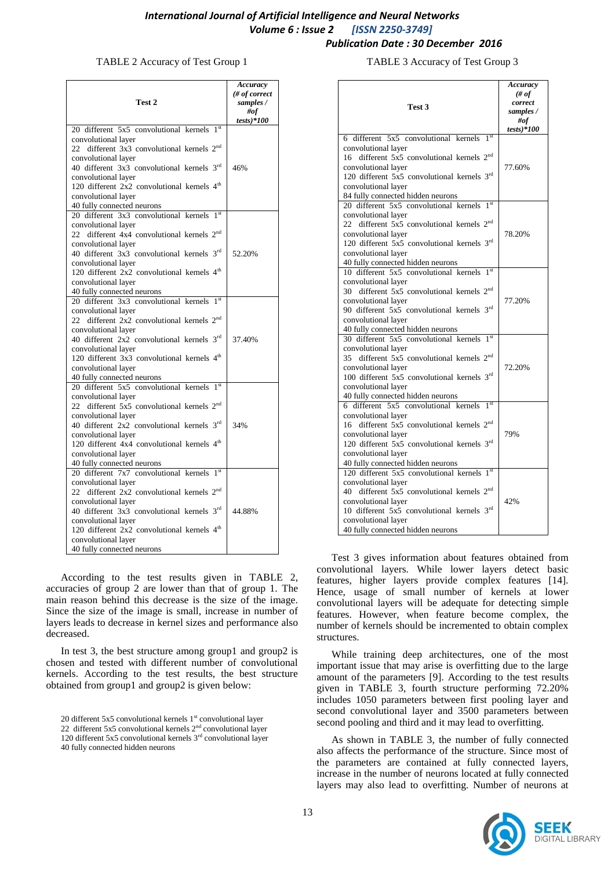#### TABLE 2 Accuracy of Test Group 1

<span id="page-2-0"></span>

| Test 2                                                                         | Accuracy<br># of correct<br>samples /<br>#of<br>$tests)*100$ |
|--------------------------------------------------------------------------------|--------------------------------------------------------------|
| 20 different $5x\overline{5}$ convolutional kernels $1st$                      |                                                              |
| convolutional layer                                                            |                                                              |
| 22 different 3x3 convolutional kernels 2 <sup>nd</sup>                         |                                                              |
| convolutional layer                                                            |                                                              |
| 40 different 3x3 convolutional kernels 3rd                                     | 46%                                                          |
| convolutional layer                                                            |                                                              |
| 120 different 2x2 convolutional kernels 4 <sup>th</sup>                        |                                                              |
| convolutional layer                                                            |                                                              |
| 40 fully connected neurons                                                     |                                                              |
| 20 different $3x3$ convolutional kernels $1st$                                 |                                                              |
| convolutional layer                                                            |                                                              |
| 22 different 4x4 convolutional kernels 2 <sup>nd</sup>                         |                                                              |
|                                                                                |                                                              |
| convolutional layer<br>40 different 3x3 convolutional kernels 3rd              | 52.20%                                                       |
|                                                                                |                                                              |
| convolutional layer                                                            |                                                              |
| 120 different 2x2 convolutional kernels 4 <sup>th</sup>                        |                                                              |
| convolutional layer                                                            |                                                              |
| 40 fully connected neurons                                                     |                                                              |
| 20 different 3x3 convolutional kernels 1st                                     |                                                              |
| convolutional layer                                                            |                                                              |
| 22 different 2x2 convolutional kernels 2 <sup>nd</sup>                         |                                                              |
| convolutional layer                                                            |                                                              |
| 40 different 2x2 convolutional kernels 3rd                                     | 37.40%                                                       |
| convolutional layer<br>120 different 3x3 convolutional kernels 4 <sup>th</sup> |                                                              |
|                                                                                |                                                              |
| convolutional layer                                                            |                                                              |
| 40 fully connected neurons                                                     |                                                              |
| 20 different 5x5 convolutional kernels 1st                                     |                                                              |
| convolutional layer                                                            |                                                              |
| 22 different 5x5 convolutional kernels 2 <sup>nd</sup>                         |                                                              |
| convolutional layer                                                            | 34%                                                          |
| 40 different 2x2 convolutional kernels 3rd                                     |                                                              |
| convolutional layer                                                            |                                                              |
| 120 different 4x4 convolutional kernels 4 <sup>th</sup>                        |                                                              |
| convolutional layer                                                            |                                                              |
| 40 fully connected neurons                                                     |                                                              |
| 20 different 7x7 convolutional kernels 1st                                     |                                                              |
| convolutional layer<br>22 different 2x2 convolutional kernels 2 <sup>nd</sup>  |                                                              |
| convolutional layer                                                            |                                                              |
| 40 different $3x3$ convolutional kernels $3rd$                                 | 44.88%                                                       |
| convolutional layer                                                            |                                                              |
| 120 different 2x2 convolutional kernels 4 <sup>th</sup>                        |                                                              |
| convolutional layer                                                            |                                                              |
| 40 fully connected neurons                                                     |                                                              |
|                                                                                |                                                              |

According to the test results given in [TABLE 2,](#page-2-0) accuracies of group 2 are lower than that of group 1. The main reason behind this decrease is the size of the image. Since the size of the image is small, increase in number of layers leads to decrease in kernel sizes and performance also decreased.

In test 3, the best structure among group1 and group2 is chosen and tested with different number of convolutional kernels. According to the test results, the best structure obtained from group1 and group2 is given below:

TABLE 3 Accuracy of Test Group 3

<span id="page-2-1"></span>

| Test 3                                                                                                                                                                                                                                                          | Accuracy<br># of<br>correct<br>samples /<br>#of<br>$tests)*100$ |
|-----------------------------------------------------------------------------------------------------------------------------------------------------------------------------------------------------------------------------------------------------------------|-----------------------------------------------------------------|
| 6 different $5x5$ convolutional kernels $1st$                                                                                                                                                                                                                   |                                                                 |
| convolutional layer<br>16 different 5x5 convolutional kernels 2 <sup>nd</sup><br>convolutional layer<br>120 different 5x5 convolutional kernels $3rd$<br>convolutional layer<br>84 fully connected hidden neurons                                               | 77.60%                                                          |
| 1 <sup>st</sup><br>20 different 5x5 convolutional kernels                                                                                                                                                                                                       |                                                                 |
| convolutional layer<br>22 different 5x5 convolutional kernels 2 <sup>nd</sup><br>convolutional layer<br>120 different 5x5 convolutional kernels 3rd<br>convolutional layer<br>40 fully connected hidden neurons                                                 | 78.20%                                                          |
| 10 different 5x5 convolutional kernels 1st<br>convolutional layer<br>30 different 5x5 convolutional kernels 2 <sup>nd</sup><br>convolutional layer<br>90 different 5x5 convolutional kernels 3rd<br>convolutional layer<br>40 fully connected hidden neurons    | 77.20%                                                          |
| 30 different 5x5 convolutional kernels 1st<br>convolutional layer<br>35 different 5x5 convolutional kernels 2 <sup>nd</sup><br>convolutional layer<br>100 different 5x5 convolutional kernels $3rd$<br>convolutional layer<br>40 fully connected hidden neurons | 72.20%                                                          |
| 6 different 5x5 convolutional kernels 1st<br>convolutional layer<br>16 different 5x5 convolutional kernels 2 <sup>nd</sup><br>convolutional layer<br>120 different 5x5 convolutional kernels 3rd<br>convolutional layer<br>40 fully connected hidden neurons    | 79%                                                             |
| 120 different 5x5 convolutional kernels 1st<br>convolutional layer<br>40 different 5x5 convolutional kernels 2 <sup>nd</sup><br>convolutional layer<br>10 different 5x5 convolutional kernels 3rd<br>convolutional layer<br>40 fully connected hidden neurons   | 42%                                                             |

Test 3 gives information about features obtained from convolutional layers. While lower layers detect basic features, higher layers provide complex features [14]. Hence, usage of small number of kernels at lower convolutional layers will be adequate for detecting simple features. However, when feature become complex, the number of kernels should be incremented to obtain complex structures.

While training deep architectures, one of the most important issue that may arise is overfitting due to the large amount of the parameters [9]. According to the test results given in [TABLE 3,](#page-2-1) fourth structure performing 72.20% includes 1050 parameters between first pooling layer and second convolutional layer and 3500 parameters between second pooling and third and it may lead to overfitting.

As shown in [TABLE 3,](#page-2-1) the number of fully connected also affects the performance of the structure. Since most of the parameters are contained at fully connected layers, increase in the number of neurons located at fully connected layers may also lead to overfitting. Number of neurons at



<sup>20</sup> different 5x5 convolutional kernels  $1<sup>st</sup>$  convolutional layer 22 different 5x5 convolutional kernels  $2<sup>nd</sup>$  convolutional layer 120 different 5x5 convolutional kernels  $3<sup>rd</sup>$  convolutional layer 40 fully connected hidden neurons